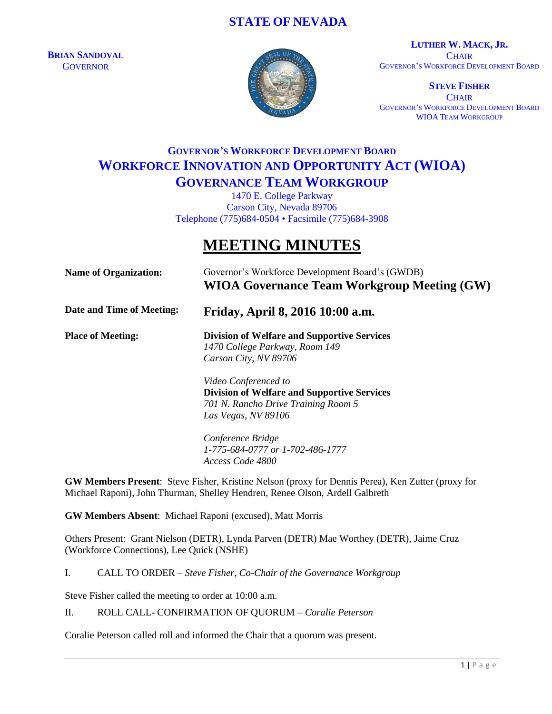### **STATE OF NEVADA**

**BRIAN SANDOVAL GOVERNOR** 



**LUTHER W. MACK, JR. CHAIR** GOVERNOR'S WORKFORCE DEVELOPMENT BOARD

**STEVE FISHER CHAIR** GOVERNOR'S WORKFORCE DEVELOPMENT BOARD WIOA TEAM WORKGROUP

## **GOVERNOR'S WORKFORCE DEVELOPMENT BOARD WORKFORCE INNOVATION AND OPPORTUNITY ACT (WIOA) GOVERNANCE TEAM WORKGROUP**

1470 E. College Parkway Carson City, Nevada 89706 Telephone (775)684-0504 • Facsimile (775)684-3908

# **MEETING MINUTES**

| <b>Name of Organization:</b> | Governor's Workforce Development Board's (GWDB)<br><b>WIOA Governance Team Workgroup Meeting (GW)</b>                                    |
|------------------------------|------------------------------------------------------------------------------------------------------------------------------------------|
| Date and Time of Meeting:    | Friday, April 8, 2016 10:00 a.m.                                                                                                         |
| <b>Place of Meeting:</b>     | <b>Division of Welfare and Supportive Services</b><br>1470 College Parkway, Room 149<br>Carson City, NV 89706                            |
|                              | Video Conferenced to<br><b>Division of Welfare and Supportive Services</b><br>701 N. Rancho Drive Training Room 5<br>Las Vegas, NV 89106 |
|                              | Conference Bridge<br>1-775-684-0777 or 1-702-486-1777                                                                                    |

**GW Members Present**: Steve Fisher, Kristine Nelson (proxy for Dennis Perea), Ken Zutter (proxy for Michael Raponi), John Thurman, Shelley Hendren, Renee Olson, Ardell Galbreth

**GW Members Absent**: Michael Raponi (excused), Matt Morris

Others Present: Grant Nielson (DETR), Lynda Parven (DETR) Mae Worthey (DETR), Jaime Cruz (Workforce Connections), Lee Quick (NSHE)

I. CALL TO ORDER – *Steve Fisher, Co-Chair of the Governance Workgroup*

*Access Code 4800*

Steve Fisher called the meeting to order at 10:00 a.m.

II. ROLL CALL- CONFIRMATION OF QUORUM – *Coralie Peterson*

Coralie Peterson called roll and informed the Chair that a quorum was present.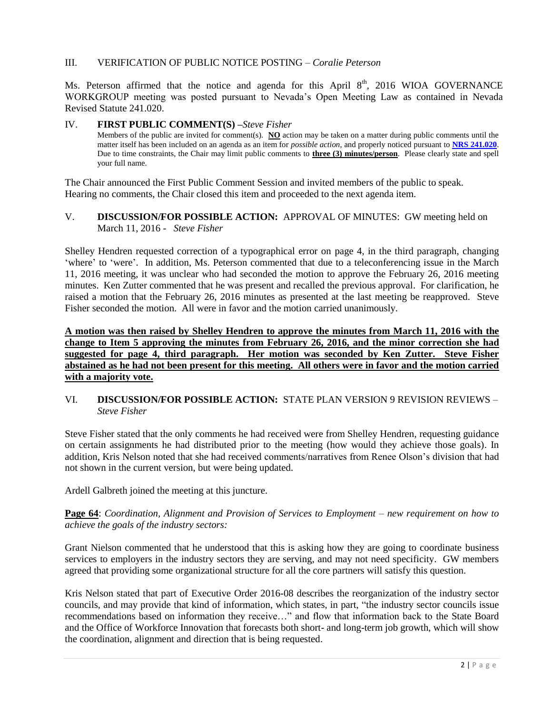#### III. VERIFICATION OF PUBLIC NOTICE POSTING – *Coralie Peterson*

Ms. Peterson affirmed that the notice and agenda for this April  $8<sup>th</sup>$ , 2016 WIOA GOVERNANCE WORKGROUP meeting was posted pursuant to Nevada's Open Meeting Law as contained in Nevada Revised Statute 241.020.

#### IV. **FIRST PUBLIC COMMENT(S) –***Steve Fisher*

Members of the public are invited for comment(s). **NO** action may be taken on a matter during public comments until the matter itself has been included on an agenda as an item for *possible action*, and properly noticed pursuant to **[NRS 241.020](http://www.leg.state.nv.us/NRS/NRS-241.html#NRS241Sec020)**. Due to time constraints, the Chair may limit public comments to **three (3) minutes/person**. Please clearly state and spell your full name.

The Chair announced the First Public Comment Session and invited members of the public to speak. Hearing no comments, the Chair closed this item and proceeded to the next agenda item.

#### V. **DISCUSSION/FOR POSSIBLE ACTION:** APPROVAL OF MINUTES: GW meeting held on March 11, 2016 - *Steve Fisher*

Shelley Hendren requested correction of a typographical error on page 4, in the third paragraph, changing 'where' to 'were'. In addition, Ms. Peterson commented that due to a teleconferencing issue in the March 11, 2016 meeting, it was unclear who had seconded the motion to approve the February 26, 2016 meeting minutes. Ken Zutter commented that he was present and recalled the previous approval. For clarification, he raised a motion that the February 26, 2016 minutes as presented at the last meeting be reapproved. Steve Fisher seconded the motion. All were in favor and the motion carried unanimously.

**A motion was then raised by Shelley Hendren to approve the minutes from March 11, 2016 with the change to Item 5 approving the minutes from February 26, 2016, and the minor correction she had suggested for page 4, third paragraph. Her motion was seconded by Ken Zutter. Steve Fisher abstained as he had not been present for this meeting. All others were in favor and the motion carried with a majority vote.**

#### VI. **DISCUSSION/FOR POSSIBLE ACTION:** STATE PLAN VERSION 9 REVISION REVIEWS – *Steve Fisher*

Steve Fisher stated that the only comments he had received were from Shelley Hendren, requesting guidance on certain assignments he had distributed prior to the meeting (how would they achieve those goals). In addition, Kris Nelson noted that she had received comments/narratives from Renee Olson's division that had not shown in the current version, but were being updated.

Ardell Galbreth joined the meeting at this juncture.

**Page 64**: *Coordination, Alignment and Provision of Services to Employment – new requirement on how to achieve the goals of the industry sectors:*

Grant Nielson commented that he understood that this is asking how they are going to coordinate business services to employers in the industry sectors they are serving, and may not need specificity. GW members agreed that providing some organizational structure for all the core partners will satisfy this question.

Kris Nelson stated that part of Executive Order 2016-08 describes the reorganization of the industry sector councils, and may provide that kind of information, which states, in part, "the industry sector councils issue recommendations based on information they receive…" and flow that information back to the State Board and the Office of Workforce Innovation that forecasts both short- and long-term job growth, which will show the coordination, alignment and direction that is being requested.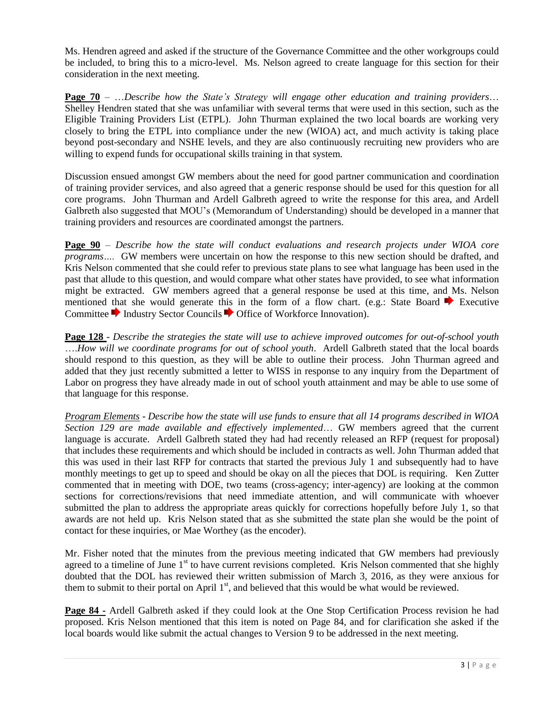Ms. Hendren agreed and asked if the structure of the Governance Committee and the other workgroups could be included, to bring this to a micro-level. Ms. Nelson agreed to create language for this section for their consideration in the next meeting.

**Page 70** – …*Describe how the State's Strategy will engage other education and training providers*… Shelley Hendren stated that she was unfamiliar with several terms that were used in this section, such as the Eligible Training Providers List (ETPL). John Thurman explained the two local boards are working very closely to bring the ETPL into compliance under the new (WIOA) act, and much activity is taking place beyond post-secondary and NSHE levels, and they are also continuously recruiting new providers who are willing to expend funds for occupational skills training in that system.

Discussion ensued amongst GW members about the need for good partner communication and coordination of training provider services, and also agreed that a generic response should be used for this question for all core programs. John Thurman and Ardell Galbreth agreed to write the response for this area, and Ardell Galbreth also suggested that MOU's (Memorandum of Understanding) should be developed in a manner that training providers and resources are coordinated amongst the partners.

**Page 90** – *Describe how the state will conduct evaluations and research projects under WIOA core programs….* GW members were uncertain on how the response to this new section should be drafted, and Kris Nelson commented that she could refer to previous state plans to see what language has been used in the past that allude to this question, and would compare what other states have provided, to see what information might be extracted. GW members agreed that a general response be used at this time, and Ms. Nelson mentioned that she would generate this in the form of a flow chart. (e.g.: State Board  $\blacktriangleright$  Executive Committee Industry Sector Councils Office of Workforce Innovation).

**Page 128** - *Describe the strategies the state will use to achieve improved outcomes for out-of-school youth* ….*How will we coordinate programs for out of school youth*. Ardell Galbreth stated that the local boards should respond to this question, as they will be able to outline their process. John Thurman agreed and added that they just recently submitted a letter to WISS in response to any inquiry from the Department of Labor on progress they have already made in out of school youth attainment and may be able to use some of that language for this response.

*Program Elements* - *Describe how the state will use funds to ensure that all 14 programs described in WIOA Section 129 are made available and effectively implemented*… GW members agreed that the current language is accurate. Ardell Galbreth stated they had had recently released an RFP (request for proposal) that includes these requirements and which should be included in contracts as well. John Thurman added that this was used in their last RFP for contracts that started the previous July 1 and subsequently had to have monthly meetings to get up to speed and should be okay on all the pieces that DOL is requiring. Ken Zutter commented that in meeting with DOE, two teams (cross-agency; inter-agency) are looking at the common sections for corrections/revisions that need immediate attention, and will communicate with whoever submitted the plan to address the appropriate areas quickly for corrections hopefully before July 1, so that awards are not held up. Kris Nelson stated that as she submitted the state plan she would be the point of contact for these inquiries, or Mae Worthey (as the encoder).

Mr. Fisher noted that the minutes from the previous meeting indicated that GW members had previously agreed to a timeline of June  $1<sup>st</sup>$  to have current revisions completed. Kris Nelson commented that she highly doubted that the DOL has reviewed their written submission of March 3, 2016, as they were anxious for them to submit to their portal on April  $1<sup>st</sup>$ , and believed that this would be what would be reviewed.

**Page 84 -** Ardell Galbreth asked if they could look at the One Stop Certification Process revision he had proposed. Kris Nelson mentioned that this item is noted on Page 84, and for clarification she asked if the local boards would like submit the actual changes to Version 9 to be addressed in the next meeting.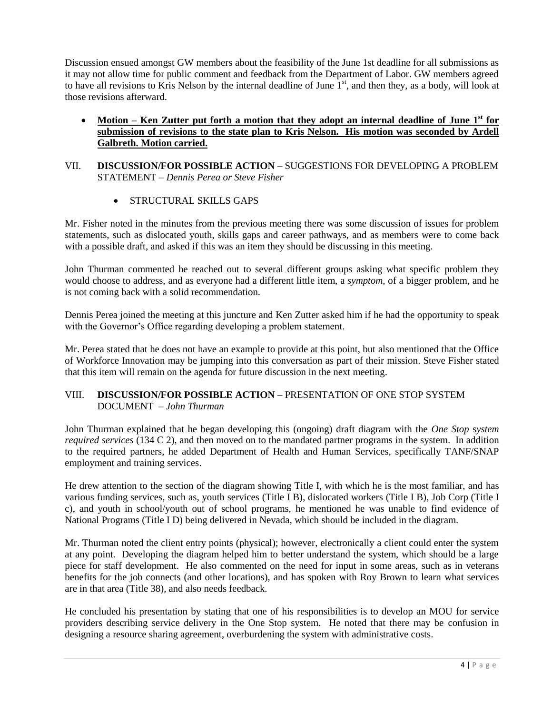Discussion ensued amongst GW members about the feasibility of the June 1st deadline for all submissions as it may not allow time for public comment and feedback from the Department of Labor. GW members agreed to have all revisions to Kris Nelson by the internal deadline of June  $1<sup>st</sup>$ , and then they, as a body, will look at those revisions afterward.

- **Motion – Ken Zutter put forth a motion that they adopt an internal deadline of June 1st for submission of revisions to the state plan to Kris Nelson. His motion was seconded by Ardell Galbreth. Motion carried.**
- VII. **DISCUSSION/FOR POSSIBLE ACTION –** SUGGESTIONS FOR DEVELOPING A PROBLEM STATEMENT – *Dennis Perea or Steve Fisher*
	- STRUCTURAL SKILLS GAPS

Mr. Fisher noted in the minutes from the previous meeting there was some discussion of issues for problem statements, such as dislocated youth, skills gaps and career pathways, and as members were to come back with a possible draft, and asked if this was an item they should be discussing in this meeting.

John Thurman commented he reached out to several different groups asking what specific problem they would choose to address, and as everyone had a different little item, a *symptom*, of a bigger problem, and he is not coming back with a solid recommendation.

Dennis Perea joined the meeting at this juncture and Ken Zutter asked him if he had the opportunity to speak with the Governor's Office regarding developing a problem statement.

Mr. Perea stated that he does not have an example to provide at this point, but also mentioned that the Office of Workforce Innovation may be jumping into this conversation as part of their mission. Steve Fisher stated that this item will remain on the agenda for future discussion in the next meeting.

#### VIII. **DISCUSSION/FOR POSSIBLE ACTION –** PRESENTATION OF ONE STOP SYSTEM DOCUMENT – *John Thurman*

John Thurman explained that he began developing this (ongoing) draft diagram with the *One Stop* s*ystem required services* (134 C 2), and then moved on to the mandated partner programs in the system. In addition to the required partners, he added Department of Health and Human Services, specifically TANF/SNAP employment and training services.

He drew attention to the section of the diagram showing Title I, with which he is the most familiar, and has various funding services, such as, youth services (Title I B), dislocated workers (Title I B), Job Corp (Title I c), and youth in school/youth out of school programs, he mentioned he was unable to find evidence of National Programs (Title I D) being delivered in Nevada, which should be included in the diagram.

Mr. Thurman noted the client entry points (physical); however, electronically a client could enter the system at any point. Developing the diagram helped him to better understand the system, which should be a large piece for staff development. He also commented on the need for input in some areas, such as in veterans benefits for the job connects (and other locations), and has spoken with Roy Brown to learn what services are in that area (Title 38), and also needs feedback.

He concluded his presentation by stating that one of his responsibilities is to develop an MOU for service providers describing service delivery in the One Stop system. He noted that there may be confusion in designing a resource sharing agreement, overburdening the system with administrative costs.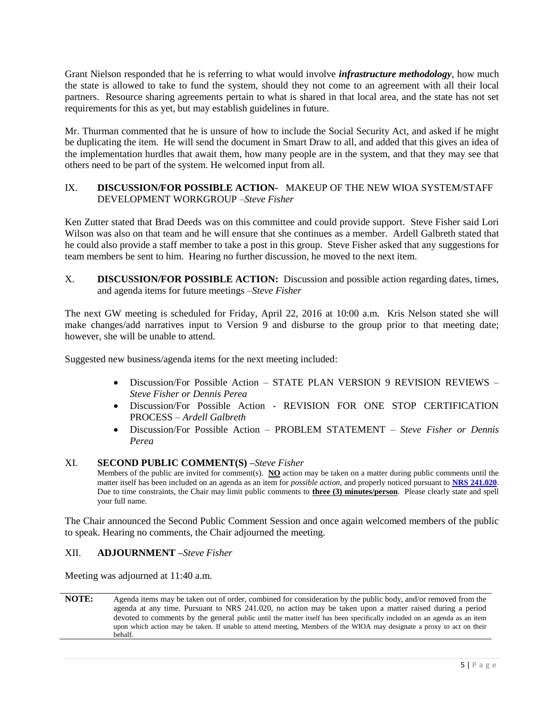Grant Nielson responded that he is referring to what would involve *infrastructure methodology*, how much the state is allowed to take to fund the system, should they not come to an agreement with all their local partners. Resource sharing agreements pertain to what is shared in that local area, and the state has not set requirements for this as yet, but may establish guidelines in future.

Mr. Thurman commented that he is unsure of how to include the Social Security Act, and asked if he might be duplicating the item. He will send the document in Smart Draw to all, and added that this gives an idea of the implementation hurdles that await them, how many people are in the system, and that they may see that others need to be part of the system. He welcomed input from all.

#### IX. **DISCUSSION/FOR POSSIBLE ACTION-** MAKEUP OF THE NEW WIOA SYSTEM/STAFF DEVELOPMENT WORKGROUP –*Steve Fisher*

Ken Zutter stated that Brad Deeds was on this committee and could provide support. Steve Fisher said Lori Wilson was also on that team and he will ensure that she continues as a member. Ardell Galbreth stated that he could also provide a staff member to take a post in this group. Steve Fisher asked that any suggestions for team members be sent to him. Hearing no further discussion, he moved to the next item.

X. **DISCUSSION/FOR POSSIBLE ACTION:** Discussion and possible action regarding dates, times, and agenda items for future meetings –*Steve Fisher*

The next GW meeting is scheduled for Friday, April 22, 2016 at 10:00 a.m. Kris Nelson stated she will make changes/add narratives input to Version 9 and disburse to the group prior to that meeting date; however, she will be unable to attend.

Suggested new business/agenda items for the next meeting included:

- Discussion/For Possible Action STATE PLAN VERSION 9 REVISION REVIEWS *Steve Fisher or Dennis Perea*
- Discussion/For Possible Action REVISION FOR ONE STOP CERTIFICATION PROCESS – *Ardell Galbreth*
- Discussion/For Possible Action PROBLEM STATEMENT *Steve Fisher or Dennis Perea*

#### XI. **SECOND PUBLIC COMMENT(S) –***Steve Fisher*

Members of the public are invited for comment(s). **NO** action may be taken on a matter during public comments until the matter itself has been included on an agenda as an item for *possible action*, and properly noticed pursuant to **[NRS 241.020](http://www.leg.state.nv.us/NRS/NRS-241.html#NRS241Sec020)**. Due to time constraints, the Chair may limit public comments to **three (3) minutes/person**. Please clearly state and spell your full name.

The Chair announced the Second Public Comment Session and once again welcomed members of the public to speak. Hearing no comments, the Chair adjourned the meeting.

#### XII. **ADJOURNMENT –***Steve Fisher*

Meeting was adjourned at 11:40 a.m.

**NOTE:** Agenda items may be taken out of order, combined for consideration by the public body, and/or removed from the agenda at any time. Pursuant to NRS 241.020, no action may be taken upon a matter raised during a period devoted to comments by the general public until the matter itself has been specifically included on an agenda as an item upon which action may be taken. If unable to attend meeting, Members of the WIOA may designate a proxy to act on their behalf.